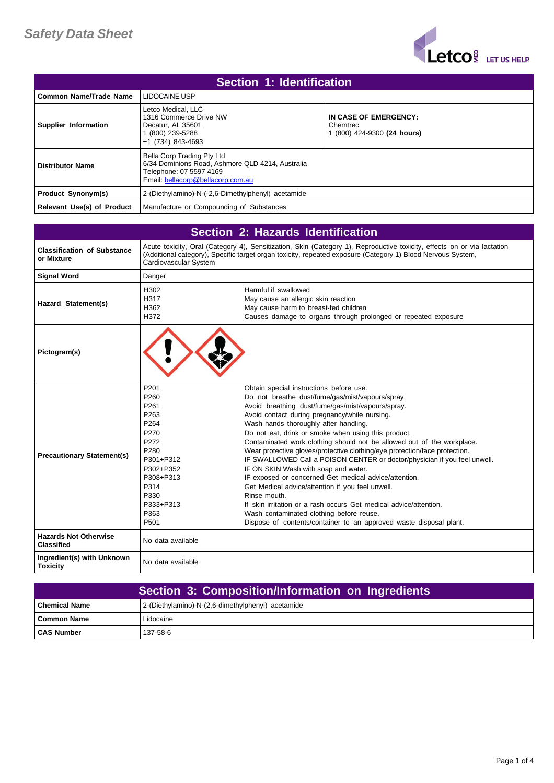

| Section 1: Identification  |                                                                                                                                                |                                                                  |
|----------------------------|------------------------------------------------------------------------------------------------------------------------------------------------|------------------------------------------------------------------|
| Common Name/Trade Name     | LIDOCAINE USP                                                                                                                                  |                                                                  |
| Supplier Information       | Letco Medical, LLC<br>1316 Commerce Drive NW<br>Decatur. AL 35601<br>(800) 239-5288<br>+1 (734) 843-4693                                       | IN CASE OF EMERGENCY:<br>Chemtrec<br>1 (800) 424-9300 (24 hours) |
| <b>Distributor Name</b>    | Bella Corp Trading Pty Ltd<br>6/34 Dominions Road, Ashmore QLD 4214, Australia<br>Telephone: 07 5597 4169<br>Email: bellacorp@bellacorp.com.au |                                                                  |
| <b>Product Synonym(s)</b>  | 2-(Diethylamino)-N-(-2,6-Dimethylphenyl) acetamide                                                                                             |                                                                  |
| Relevant Use(s) of Product | Manufacture or Compounding of Substances                                                                                                       |                                                                  |

| <b>Section 2: Hazards Identification</b>          |                                                                                                                                                              |                                                                                                                                                                                                                                                                                                                                                                                                                                                                                                                                                                                                                                                                                                                                                                                                                                                                                                    |
|---------------------------------------------------|--------------------------------------------------------------------------------------------------------------------------------------------------------------|----------------------------------------------------------------------------------------------------------------------------------------------------------------------------------------------------------------------------------------------------------------------------------------------------------------------------------------------------------------------------------------------------------------------------------------------------------------------------------------------------------------------------------------------------------------------------------------------------------------------------------------------------------------------------------------------------------------------------------------------------------------------------------------------------------------------------------------------------------------------------------------------------|
| <b>Classification of Substance</b><br>or Mixture  | Cardiovascular System                                                                                                                                        | Acute toxicity, Oral (Category 4), Sensitization, Skin (Category 1), Reproductive toxicity, effects on or via lactation<br>(Additional category), Specific target organ toxicity, repeated exposure (Category 1) Blood Nervous System,                                                                                                                                                                                                                                                                                                                                                                                                                                                                                                                                                                                                                                                             |
| <b>Signal Word</b>                                | Danger                                                                                                                                                       |                                                                                                                                                                                                                                                                                                                                                                                                                                                                                                                                                                                                                                                                                                                                                                                                                                                                                                    |
| Hazard Statement(s)                               | H302<br>H317<br>H362<br>H372                                                                                                                                 | Harmful if swallowed<br>May cause an allergic skin reaction<br>May cause harm to breast-fed children<br>Causes damage to organs through prolonged or repeated exposure                                                                                                                                                                                                                                                                                                                                                                                                                                                                                                                                                                                                                                                                                                                             |
| Pictogram(s)                                      |                                                                                                                                                              |                                                                                                                                                                                                                                                                                                                                                                                                                                                                                                                                                                                                                                                                                                                                                                                                                                                                                                    |
| <b>Precautionary Statement(s)</b>                 | P201<br>P260<br>P261<br>P263<br>P <sub>264</sub><br>P270<br>P272<br>P280<br>P301+P312<br>P302+P352<br>P308+P313<br>P314<br>P330<br>P333+P313<br>P363<br>P501 | Obtain special instructions before use.<br>Do not breathe dust/fume/gas/mist/vapours/spray.<br>Avoid breathing dust/fume/gas/mist/vapours/spray.<br>Avoid contact during pregnancy/while nursing.<br>Wash hands thoroughly after handling.<br>Do not eat, drink or smoke when using this product.<br>Contaminated work clothing should not be allowed out of the workplace.<br>Wear protective gloves/protective clothing/eye protection/face protection.<br>IF SWALLOWED Call a POISON CENTER or doctor/physician if you feel unwell.<br>IF ON SKIN Wash with soap and water.<br>IF exposed or concerned Get medical advice/attention.<br>Get Medical advice/attention if you feel unwell.<br>Rinse mouth.<br>If skin irritation or a rash occurs Get medical advice/attention.<br>Wash contaminated clothing before reuse.<br>Dispose of contents/container to an approved waste disposal plant. |
| <b>Hazards Not Otherwise</b><br><b>Classified</b> | No data available                                                                                                                                            |                                                                                                                                                                                                                                                                                                                                                                                                                                                                                                                                                                                                                                                                                                                                                                                                                                                                                                    |
| Ingredient(s) with Unknown<br><b>Toxicity</b>     | No data available                                                                                                                                            |                                                                                                                                                                                                                                                                                                                                                                                                                                                                                                                                                                                                                                                                                                                                                                                                                                                                                                    |

| Section 3: Composition/Information on Ingredients |                                                   |
|---------------------------------------------------|---------------------------------------------------|
| l Chemical Name                                   | 2-(Diethylamino)-N-(2,6-dimethylphenyl) acetamide |
| l Common Name                                     | Lidocaine                                         |
| <b>CAS Number</b>                                 | 137-58-6                                          |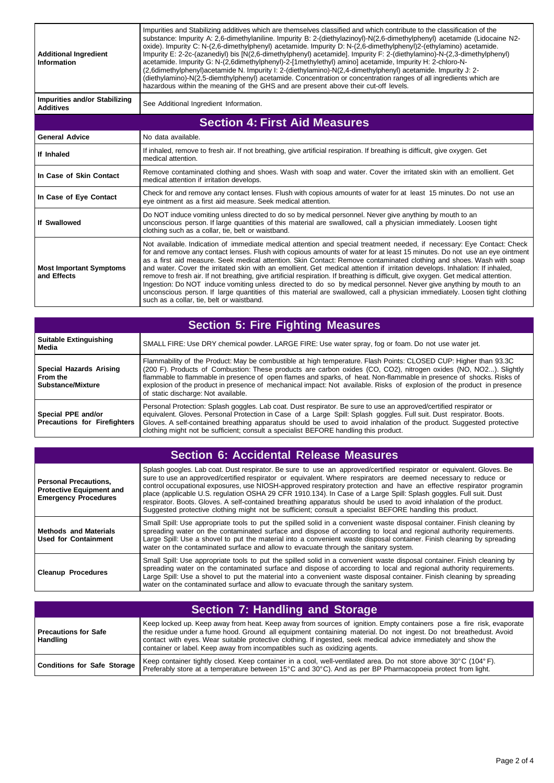| <b>Additional Ingredient</b><br>Information              | Impurities and Stabilizing additives which are themselves classified and which contribute to the classification of the<br>substance: Impurity A: 2,6-dimethylaniline. Impurity B: 2-(diethylazinoyl)-N(2,6-dimethylphenyl) acetamide (Lidocaine N2-<br>oxide). Impurity C: N-(2,6-dimethylphenyl) acetamide. Impurity D: N-(2,6-dimethylphenyl)2-(ethylamino) acetamide.<br>Impurity E: 2-2c-(azanediyl) bis [N(2,6-dimethylphenyl) acetamide]. Impurity F: 2-(diethylamino)-N-(2,3-dimethylphenyl)<br>acetamide. Impurity G: N-(2,6dimethylphenyl)-2-[1methylethyl) amino] acetamide, Impurity H: 2-chloro-N-<br>(2,6dimethylphenyl)acetamide N. Impurity I: 2-(diethylamino)-N(2,4-dimethylphenyl) acetamide. Impurity J: 2-<br>(diethylamino)-N(2,5-diemthylphenyl) acetamide. Concentration or concentration ranges of all ingredients which are<br>hazardous within the meaning of the GHS and are present above their cut-off levels.            |
|----------------------------------------------------------|--------------------------------------------------------------------------------------------------------------------------------------------------------------------------------------------------------------------------------------------------------------------------------------------------------------------------------------------------------------------------------------------------------------------------------------------------------------------------------------------------------------------------------------------------------------------------------------------------------------------------------------------------------------------------------------------------------------------------------------------------------------------------------------------------------------------------------------------------------------------------------------------------------------------------------------------------------|
| <b>Impurities and/or Stabilizing</b><br><b>Additives</b> | See Additional Ingredient Information.                                                                                                                                                                                                                                                                                                                                                                                                                                                                                                                                                                                                                                                                                                                                                                                                                                                                                                                 |
|                                                          | <b>Section 4: First Aid Measures</b>                                                                                                                                                                                                                                                                                                                                                                                                                                                                                                                                                                                                                                                                                                                                                                                                                                                                                                                   |
| <b>General Advice</b>                                    | No data available.                                                                                                                                                                                                                                                                                                                                                                                                                                                                                                                                                                                                                                                                                                                                                                                                                                                                                                                                     |
| If Inhaled                                               | If inhaled, remove to fresh air. If not breathing, give artificial respiration. If breathing is difficult, give oxygen. Get<br>medical attention.                                                                                                                                                                                                                                                                                                                                                                                                                                                                                                                                                                                                                                                                                                                                                                                                      |
| In Case of Skin Contact                                  | Remove contaminated clothing and shoes. Wash with soap and water. Cover the irritated skin with an emollient. Get<br>medical attention if irritation develops.                                                                                                                                                                                                                                                                                                                                                                                                                                                                                                                                                                                                                                                                                                                                                                                         |
| In Case of Eye Contact                                   | Check for and remove any contact lenses. Flush with copious amounts of water for at least 15 minutes. Do not use an<br>eye ointment as a first aid measure. Seek medical attention.                                                                                                                                                                                                                                                                                                                                                                                                                                                                                                                                                                                                                                                                                                                                                                    |
| If Swallowed                                             | Do NOT induce vomiting unless directed to do so by medical personnel. Never give anything by mouth to an<br>unconscious person. If large quantities of this material are swallowed, call a physician immediately. Loosen tight<br>clothing such as a collar, tie, belt or waistband.                                                                                                                                                                                                                                                                                                                                                                                                                                                                                                                                                                                                                                                                   |
| <b>Most Important Symptoms</b><br>and Effects            | Not available. Indication of immediate medical attention and special treatment needed, if necessary: Eye Contact: Check<br>for and remove any contact lenses. Flush with copious amounts of water for at least 15 minutes. Do not use an eye ointment<br>as a first aid measure. Seek medical attention. Skin Contact: Remove contaminated clothing and shoes. Wash with soap<br>and water. Cover the irritated skin with an emollient. Get medical attention if irritation develops. Inhalation: If inhaled,<br>remove to fresh air. If not breathing, give artificial respiration. If breathing is difficult, give oxygen. Get medical attention.<br>Ingestion: Do NOT induce vomiting unless directed to do so by medical personnel. Never give anything by mouth to an<br>unconscious person. If large quantities of this material are swallowed, call a physician immediately. Loosen tight clothing<br>such as a collar, tie, belt or waistband. |

| <b>Section 5: Fire Fighting Measures</b>                   |                                                                                                                                                                                                                                                                                                                                                                                                                                                                                                                                |
|------------------------------------------------------------|--------------------------------------------------------------------------------------------------------------------------------------------------------------------------------------------------------------------------------------------------------------------------------------------------------------------------------------------------------------------------------------------------------------------------------------------------------------------------------------------------------------------------------|
| <b>Suitable Extinguishing</b><br>Media                     | SMALL FIRE: Use DRY chemical powder. LARGE FIRE: Use water spray, fog or foam. Do not use water jet.                                                                                                                                                                                                                                                                                                                                                                                                                           |
| Special Hazards Arising<br>From the<br>l Substance/Mixture | Flammability of the Product: May be combustible at high temperature. Flash Points: CLOSED CUP: Higher than 93.3C<br>(200 F). Products of Combustion: These products are carbon oxides (CO, CO2), nitrogen oxides (NO, NO2). Slightly<br>flammable to flammable in presence of open flames and sparks, of heat. Non-flammable in presence of shocks. Risks of<br>explosion of the product in presence of mechanical impact: Not available. Risks of explosion of the product in presence<br>of static discharge: Not available. |
| Special PPE and/or<br>Precautions for Firefighters         | Personal Protection: Splash goggles. Lab coat. Dust respirator. Be sure to use an approved/certified respirator or<br>equivalent. Gloves. Personal Protection in Case of a Large Spill: Splash goggles. Full suit. Dust respirator. Boots.<br>Gloves. A self-contained breathing apparatus should be used to avoid inhalation of the product. Suggested protective<br>clothing might not be sufficient; consult a specialist BEFORE handling this product.                                                                     |

| Section 6: Accidental Release Measures                                                         |                                                                                                                                                                                                                                                                                                                                                                                                                                                                                                                                                                                                                                                                                                                          |
|------------------------------------------------------------------------------------------------|--------------------------------------------------------------------------------------------------------------------------------------------------------------------------------------------------------------------------------------------------------------------------------------------------------------------------------------------------------------------------------------------------------------------------------------------------------------------------------------------------------------------------------------------------------------------------------------------------------------------------------------------------------------------------------------------------------------------------|
| <b>Personal Precautions.</b><br><b>Protective Equipment and</b><br><b>Emergency Procedures</b> | Splash googles. Lab coat. Dust respirator. Be sure to use an approved/certified respirator or equivalent. Gloves. Be<br>sure to use an approved/certified respirator or equivalent. Where respirators are deemed necessary to reduce or<br>control occupational exposures, use NIOSH-approved respiratory protection and have an effective respirator programin<br>place (applicable U.S. requlation OSHA 29 CFR 1910.134). In Case of a Large Spill: Splash goggles. Full suit. Dust<br>respirator. Boots. Gloves. A self-contained breathing apparatus should be used to avoid inhalation of the product.<br>Suggested protective clothing might not be sufficient; consult a specialist BEFORE handling this product. |
| <b>Methods and Materials</b><br><b>Used for Containment</b>                                    | Small Spill: Use appropriate tools to put the spilled solid in a convenient waste disposal container. Finish cleaning by<br>spreading water on the contaminated surface and dispose of according to local and regional authority requirements.<br>Large Spill: Use a shovel to put the material into a convenient waste disposal container. Finish cleaning by spreading<br>water on the contaminated surface and allow to evacuate through the sanitary system.                                                                                                                                                                                                                                                         |
| <b>Cleanup Procedures</b>                                                                      | Small Spill: Use appropriate tools to put the spilled solid in a convenient waste disposal container. Finish cleaning by<br>spreading water on the contaminated surface and dispose of according to local and regional authority requirements.<br>Large Spill: Use a shovel to put the material into a convenient waste disposal container. Finish cleaning by spreading<br>water on the contaminated surface and allow to evacuate through the sanitary system.                                                                                                                                                                                                                                                         |

| <b>Section 7: Handling and Storage</b> |                                                                                                                                                                                                                                                                                                                                                                                                                                             |
|----------------------------------------|---------------------------------------------------------------------------------------------------------------------------------------------------------------------------------------------------------------------------------------------------------------------------------------------------------------------------------------------------------------------------------------------------------------------------------------------|
| Precautions for Safe<br>Handling       | Keep locked up. Keep away from heat. Keep away from sources of ignition. Empty containers pose a fire risk, evaporate<br>the residue under a fume hood. Ground all equipment containing material. Do not ingest. Do not breathedust. Avoid<br>contact with eyes. Wear suitable protective clothing. If ingested, seek medical advice immediately and show the<br>container or label. Keep away from incompatibles such as oxidizing agents. |
| Conditions for Safe Storage            | Keep container tightly closed. Keep container in a cool, well-ventilated area. Do not store above 30°C (104°F).<br>Preferably store at a temperature between 15°C and 30°C). And as per BP Pharmacopoeia protect from light.                                                                                                                                                                                                                |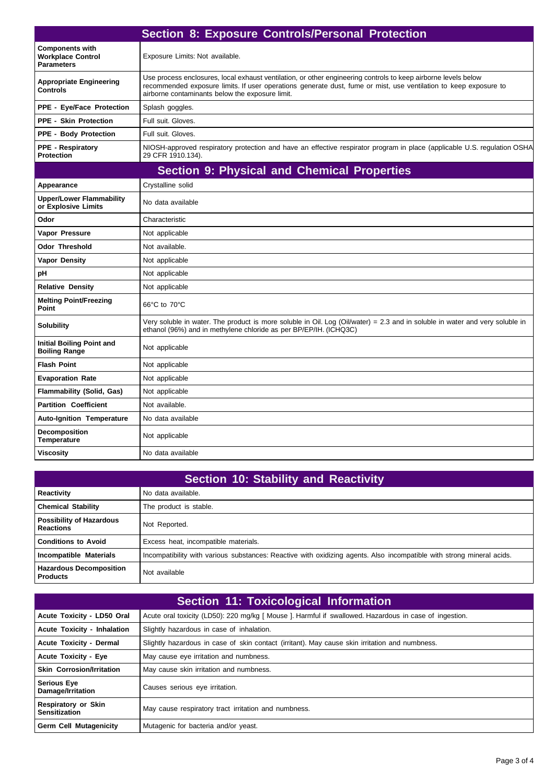|                                                                         | <b>Section 8: Exposure Controls/Personal Protection</b>                                                                                                                                                                                                                               |
|-------------------------------------------------------------------------|---------------------------------------------------------------------------------------------------------------------------------------------------------------------------------------------------------------------------------------------------------------------------------------|
| <b>Components with</b><br><b>Workplace Control</b><br><b>Parameters</b> | Exposure Limits: Not available.                                                                                                                                                                                                                                                       |
| <b>Appropriate Engineering</b><br><b>Controls</b>                       | Use process enclosures, local exhaust ventilation, or other engineering controls to keep airborne levels below<br>recommended exposure limits. If user operations generate dust, fume or mist, use ventilation to keep exposure to<br>airborne contaminants below the exposure limit. |
| <b>PPE - Eye/Face Protection</b>                                        | Splash goggles.                                                                                                                                                                                                                                                                       |
| <b>PPE - Skin Protection</b>                                            | Full suit. Gloves.                                                                                                                                                                                                                                                                    |
| <b>PPE - Body Protection</b>                                            | Full suit. Gloves.                                                                                                                                                                                                                                                                    |
| <b>PPE - Respiratory</b><br><b>Protection</b>                           | NIOSH-approved respiratory protection and have an effective respirator program in place (applicable U.S. regulation OSHA<br>29 CFR 1910.134).                                                                                                                                         |
|                                                                         | <b>Section 9: Physical and Chemical Properties</b>                                                                                                                                                                                                                                    |
| Appearance                                                              | Crystalline solid                                                                                                                                                                                                                                                                     |
| <b>Upper/Lower Flammability</b><br>or Explosive Limits                  | No data available                                                                                                                                                                                                                                                                     |
| Odor                                                                    | Characteristic                                                                                                                                                                                                                                                                        |
| Vapor Pressure                                                          | Not applicable                                                                                                                                                                                                                                                                        |
| <b>Odor Threshold</b>                                                   | Not available.                                                                                                                                                                                                                                                                        |
| <b>Vapor Density</b>                                                    | Not applicable                                                                                                                                                                                                                                                                        |
| рH                                                                      | Not applicable                                                                                                                                                                                                                                                                        |
| <b>Relative Density</b>                                                 | Not applicable                                                                                                                                                                                                                                                                        |
| <b>Melting Point/Freezing</b><br>Point                                  | 66°C to 70°C                                                                                                                                                                                                                                                                          |
| <b>Solubility</b>                                                       | Very soluble in water. The product is more soluble in Oil. Log (Oil/water) = 2.3 and in soluble in water and very soluble in<br>ethanol (96%) and in methylene chloride as per BP/EP/IH. (ICHQ3C)                                                                                     |
| <b>Initial Boiling Point and</b><br><b>Boiling Range</b>                | Not applicable                                                                                                                                                                                                                                                                        |
| <b>Flash Point</b>                                                      | Not applicable                                                                                                                                                                                                                                                                        |
| <b>Evaporation Rate</b>                                                 | Not applicable                                                                                                                                                                                                                                                                        |
| <b>Flammability (Solid, Gas)</b>                                        | Not applicable                                                                                                                                                                                                                                                                        |
| <b>Partition Coefficient</b>                                            | Not available.                                                                                                                                                                                                                                                                        |
| <b>Auto-Ignition Temperature</b>                                        | No data available                                                                                                                                                                                                                                                                     |
| <b>Decomposition</b><br><b>Temperature</b>                              | Not applicable                                                                                                                                                                                                                                                                        |
| <b>Viscosity</b>                                                        | No data available                                                                                                                                                                                                                                                                     |

| <b>Section 10: Stability and Reactivity</b>         |                                                                                                                       |  |
|-----------------------------------------------------|-----------------------------------------------------------------------------------------------------------------------|--|
| Reactivity                                          | No data available.                                                                                                    |  |
| <b>Chemical Stability</b>                           | The product is stable.                                                                                                |  |
| <b>Possibility of Hazardous</b><br><b>Reactions</b> | Not Reported.                                                                                                         |  |
| <b>Conditions to Avoid</b>                          | Excess heat, incompatible materials.                                                                                  |  |
| Incompatible Materials                              | Incompatibility with various substances: Reactive with oxidizing agents. Also incompatible with strong mineral acids. |  |
| <b>Hazardous Decomposition</b><br><b>Products</b>   | Not available                                                                                                         |  |

| <b>Section 11: Toxicological Information</b>       |                                                                                                        |  |
|----------------------------------------------------|--------------------------------------------------------------------------------------------------------|--|
| Acute Toxicity - LD50 Oral                         | Acute oral toxicity (LD50): 220 mg/kg [ Mouse ]. Harmful if swallowed. Hazardous in case of ingestion. |  |
| <b>Acute Toxicity - Inhalation</b>                 | Slightly hazardous in case of inhalation.                                                              |  |
| <b>Acute Toxicity - Dermal</b>                     | Slightly hazardous in case of skin contact (irritant). May cause skin irritation and numbness.         |  |
| <b>Acute Toxicity - Eye</b>                        | May cause eye irritation and numbness.                                                                 |  |
| <b>Skin Corrosion/Irritation</b>                   | May cause skin irritation and numbness.                                                                |  |
| <b>Serious Eye</b><br>Damage/Irritation            | Causes serious eye irritation.                                                                         |  |
| <b>Respiratory or Skin</b><br><b>Sensitization</b> | May cause respiratory tract irritation and numbness.                                                   |  |
| <b>Germ Cell Mutagenicity</b>                      | Mutagenic for bacteria and/or yeast.                                                                   |  |